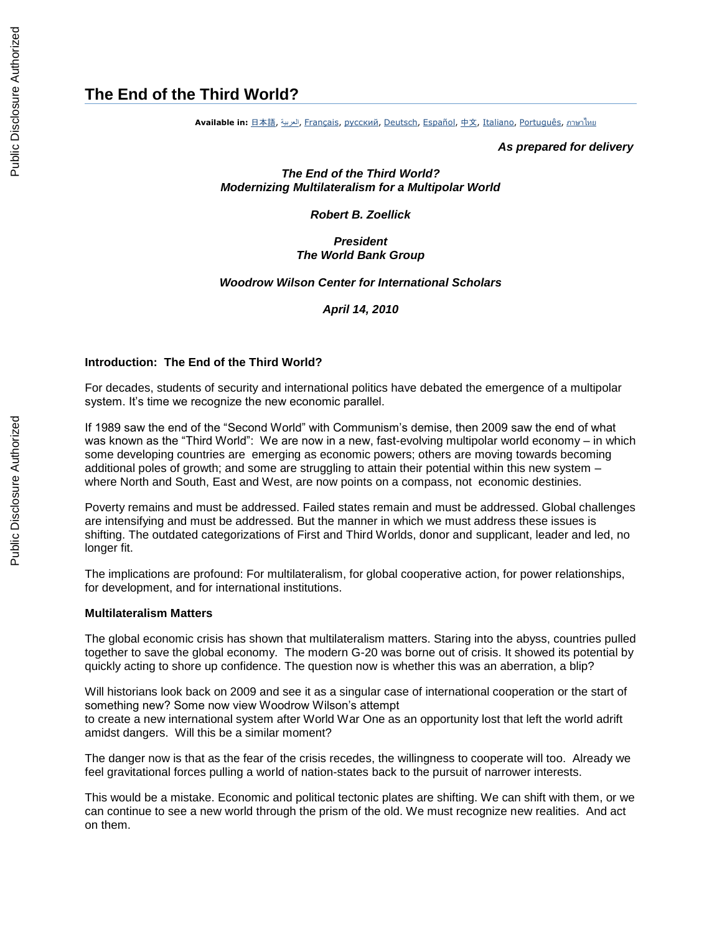# **The End of the Third World?**

**Available in:** [日本語](http://www.worldbank.org/en/webarchives/archive?url=http%3A%2F%2Fweb.worldbank.org%2Farchive%2Fwebsite01290%2FWEB%2F0__-1976.HTM&mdk=23213799), [العربية](http://www.worldbank.org/en/webarchives/archive?url=http%3A%2F%2Fweb.worldbank.org%2Farchive%2Fwebsite01290%2FWEB%2F0__-1977.HTM&mdk=23213799), [Français](http://www.worldbank.org/en/webarchives/archive?url=http%3A%2F%2Fweb.worldbank.org%2Farchive%2Fwebsite01290%2FWEB%2F0__-1978.HTM&mdk=23213799), [русский](http://www.worldbank.org/en/webarchives/archive?url=http%3A%2F%2Fweb.worldbank.org%2Farchive%2Fwebsite01290%2FWEB%2F0__-1979.HTM&mdk=23213799), [Deutsch](http://www.worldbank.org/en/webarchives/archive?url=http%3A%2F%2Fweb.worldbank.org%2Farchive%2Fwebsite01290%2FWEB%2F0__-1980.HTM&mdk=23213799), [Español](http://www.worldbank.org/en/webarchives/archive?url=http%3A%2F%2Fweb.worldbank.org%2Farchive%2Fwebsite01290%2FWEB%2F0__-1981.HTM&mdk=23213799), [中文](http://www.worldbank.org/en/webarchives/archive?url=http%3A%2F%2Fweb.worldbank.org%2Farchive%2Fwebsite01290%2FWEB%2F0__-1982.HTM&mdk=23213799), [Italiano](http://www.worldbank.org/en/webarchives/archive?url=http%3A%2F%2Fweb.worldbank.org%2Farchive%2Fwebsite01290%2FWEB%2F0__-1983.HTM&mdk=23213799), [Português](http://www.worldbank.org/en/webarchives/archive?url=http%3A%2F%2Fweb.worldbank.org%2Farchive%2Fwebsite01290%2FWEB%2F0__-1984.HTM&mdk=23213799), [ภาษาไทย](http://www.worldbank.org/en/webarchives/archive?url=http%3A%2F%2Fweb.worldbank.org%2Farchive%2Fwebsite01290%2FWEB%2F0__-1985.HTM&mdk=23213799)

*As prepared for delivery*

*The End of the Third World? Modernizing Multilateralism for a Multipolar World*

*Robert B. Zoellick*

# *President The World Bank Group*

#### *Woodrow Wilson Center for International Scholars*

*April 14, 2010*

#### **Introduction: The End of the Third World?**

For decades, students of security and international politics have debated the emergence of a multipolar system. It's time we recognize the new economic parallel.

If 1989 saw the end of the "Second World" with Communism's demise, then 2009 saw the end of what was known as the "Third World": We are now in a new, fast-evolving multipolar world economy – in which some developing countries are emerging as economic powers; others are moving towards becoming additional poles of growth; and some are struggling to attain their potential within this new system – where North and South, East and West, are now points on a compass, not economic destinies.

Poverty remains and must be addressed. Failed states remain and must be addressed. Global challenges are intensifying and must be addressed. But the manner in which we must address these issues is shifting. The outdated categorizations of First and Third Worlds, donor and supplicant, leader and led, no longer fit.

The implications are profound: For multilateralism, for global cooperative action, for power relationships, for development, and for international institutions.

#### **Multilateralism Matters**

The global economic crisis has shown that multilateralism matters. Staring into the abyss, countries pulled together to save the global economy. The modern G-20 was borne out of crisis. It showed its potential by quickly acting to shore up confidence. The question now is whether this was an aberration, a blip?

Will historians look back on 2009 and see it as a singular case of international cooperation or the start of something new? Some now view Woodrow Wilson's attempt to create a new international system after World War One as an opportunity lost that left the world adrift amidst dangers. Will this be a similar moment?

The danger now is that as the fear of the crisis recedes, the willingness to cooperate will too. Already we feel gravitational forces pulling a world of nation-states back to the pursuit of narrower interests.

This would be a mistake. Economic and political tectonic plates are shifting. We can shift with them, or we can continue to see a new world through the prism of the old. We must recognize new realities. And act on them.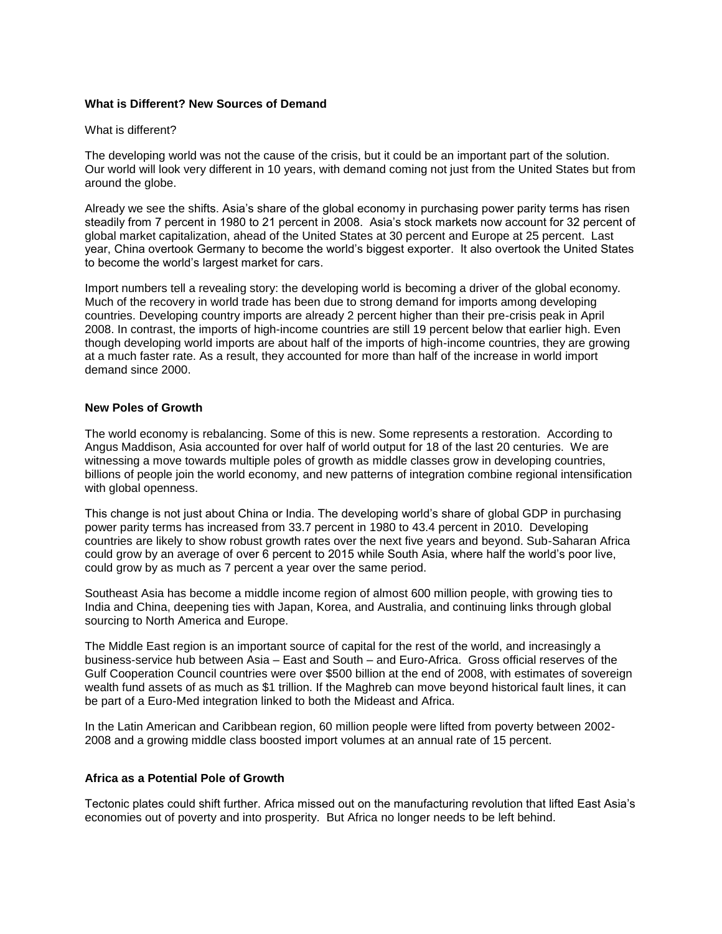# **What is Different? New Sources of Demand**

# What is different?

The developing world was not the cause of the crisis, but it could be an important part of the solution. Our world will look very different in 10 years, with demand coming not just from the United States but from around the globe.

Already we see the shifts. Asia's share of the global economy in purchasing power parity terms has risen steadily from 7 percent in 1980 to 21 percent in 2008. Asia's stock markets now account for 32 percent of global market capitalization, ahead of the United States at 30 percent and Europe at 25 percent. Last year, China overtook Germany to become the world's biggest exporter. It also overtook the United States to become the world's largest market for cars.

Import numbers tell a revealing story: the developing world is becoming a driver of the global economy. Much of the recovery in world trade has been due to strong demand for imports among developing countries. Developing country imports are already 2 percent higher than their pre-crisis peak in April 2008. In contrast, the imports of high-income countries are still 19 percent below that earlier high. Even though developing world imports are about half of the imports of high-income countries, they are growing at a much faster rate. As a result, they accounted for more than half of the increase in world import demand since 2000.

# **New Poles of Growth**

The world economy is rebalancing. Some of this is new. Some represents a restoration. According to Angus Maddison, Asia accounted for over half of world output for 18 of the last 20 centuries. We are witnessing a move towards multiple poles of growth as middle classes grow in developing countries, billions of people join the world economy, and new patterns of integration combine regional intensification with global openness.

This change is not just about China or India. The developing world's share of global GDP in purchasing power parity terms has increased from 33.7 percent in 1980 to 43.4 percent in 2010. Developing countries are likely to show robust growth rates over the next five years and beyond. Sub-Saharan Africa could grow by an average of over 6 percent to 2015 while South Asia, where half the world's poor live, could grow by as much as 7 percent a year over the same period.

Southeast Asia has become a middle income region of almost 600 million people, with growing ties to India and China, deepening ties with Japan, Korea, and Australia, and continuing links through global sourcing to North America and Europe.

The Middle East region is an important source of capital for the rest of the world, and increasingly a business-service hub between Asia – East and South – and Euro-Africa. Gross official reserves of the Gulf Cooperation Council countries were over \$500 billion at the end of 2008, with estimates of sovereign wealth fund assets of as much as \$1 trillion. If the Maghreb can move beyond historical fault lines, it can be part of a Euro-Med integration linked to both the Mideast and Africa.

In the Latin American and Caribbean region, 60 million people were lifted from poverty between 2002- 2008 and a growing middle class boosted import volumes at an annual rate of 15 percent.

# **Africa as a Potential Pole of Growth**

Tectonic plates could shift further. Africa missed out on the manufacturing revolution that lifted East Asia's economies out of poverty and into prosperity. But Africa no longer needs to be left behind.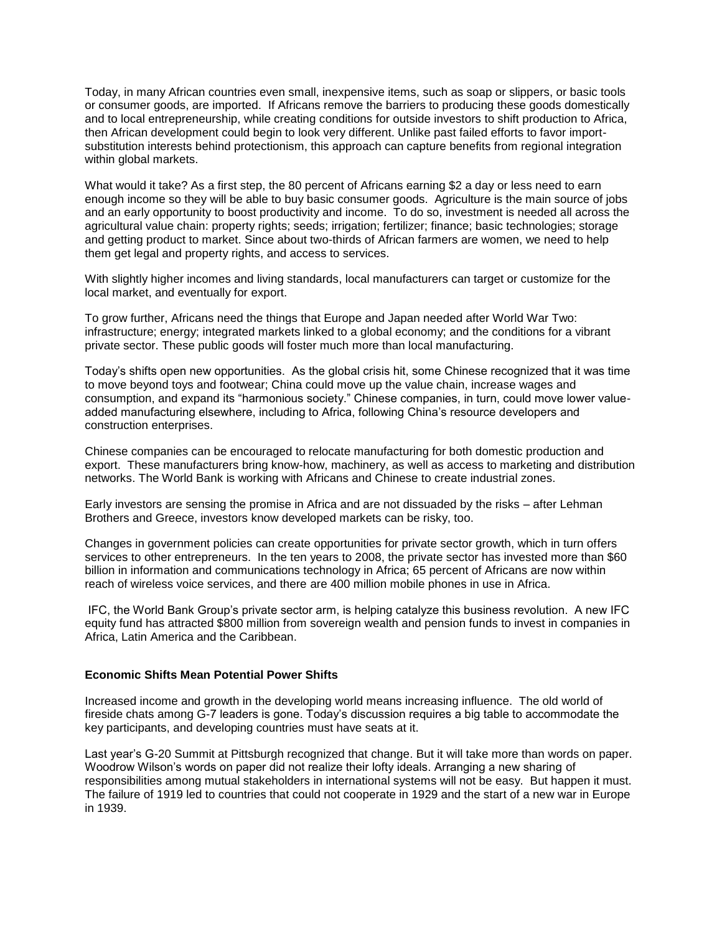Today, in many African countries even small, inexpensive items, such as soap or slippers, or basic tools or consumer goods, are imported. If Africans remove the barriers to producing these goods domestically and to local entrepreneurship, while creating conditions for outside investors to shift production to Africa, then African development could begin to look very different. Unlike past failed efforts to favor importsubstitution interests behind protectionism, this approach can capture benefits from regional integration within global markets.

What would it take? As a first step, the 80 percent of Africans earning \$2 a day or less need to earn enough income so they will be able to buy basic consumer goods. Agriculture is the main source of jobs and an early opportunity to boost productivity and income. To do so, investment is needed all across the agricultural value chain: property rights; seeds; irrigation; fertilizer; finance; basic technologies; storage and getting product to market. Since about two-thirds of African farmers are women, we need to help them get legal and property rights, and access to services.

With slightly higher incomes and living standards, local manufacturers can target or customize for the local market, and eventually for export.

To grow further, Africans need the things that Europe and Japan needed after World War Two: infrastructure; energy; integrated markets linked to a global economy; and the conditions for a vibrant private sector. These public goods will foster much more than local manufacturing.

Today's shifts open new opportunities. As the global crisis hit, some Chinese recognized that it was time to move beyond toys and footwear; China could move up the value chain, increase wages and consumption, and expand its "harmonious society." Chinese companies, in turn, could move lower valueadded manufacturing elsewhere, including to Africa, following China's resource developers and construction enterprises.

Chinese companies can be encouraged to relocate manufacturing for both domestic production and export. These manufacturers bring know-how, machinery, as well as access to marketing and distribution networks. The World Bank is working with Africans and Chinese to create industrial zones.

Early investors are sensing the promise in Africa and are not dissuaded by the risks – after Lehman Brothers and Greece, investors know developed markets can be risky, too.

Changes in government policies can create opportunities for private sector growth, which in turn offers services to other entrepreneurs. In the ten years to 2008, the private sector has invested more than \$60 billion in information and communications technology in Africa; 65 percent of Africans are now within reach of wireless voice services, and there are 400 million mobile phones in use in Africa.

IFC, the World Bank Group's private sector arm, is helping catalyze this business revolution. A new IFC equity fund has attracted \$800 million from sovereign wealth and pension funds to invest in companies in Africa, Latin America and the Caribbean.

# **Economic Shifts Mean Potential Power Shifts**

Increased income and growth in the developing world means increasing influence. The old world of fireside chats among G-7 leaders is gone. Today's discussion requires a big table to accommodate the key participants, and developing countries must have seats at it.

Last year's G-20 Summit at Pittsburgh recognized that change. But it will take more than words on paper. Woodrow Wilson's words on paper did not realize their lofty ideals. Arranging a new sharing of responsibilities among mutual stakeholders in international systems will not be easy. But happen it must. The failure of 1919 led to countries that could not cooperate in 1929 and the start of a new war in Europe in 1939.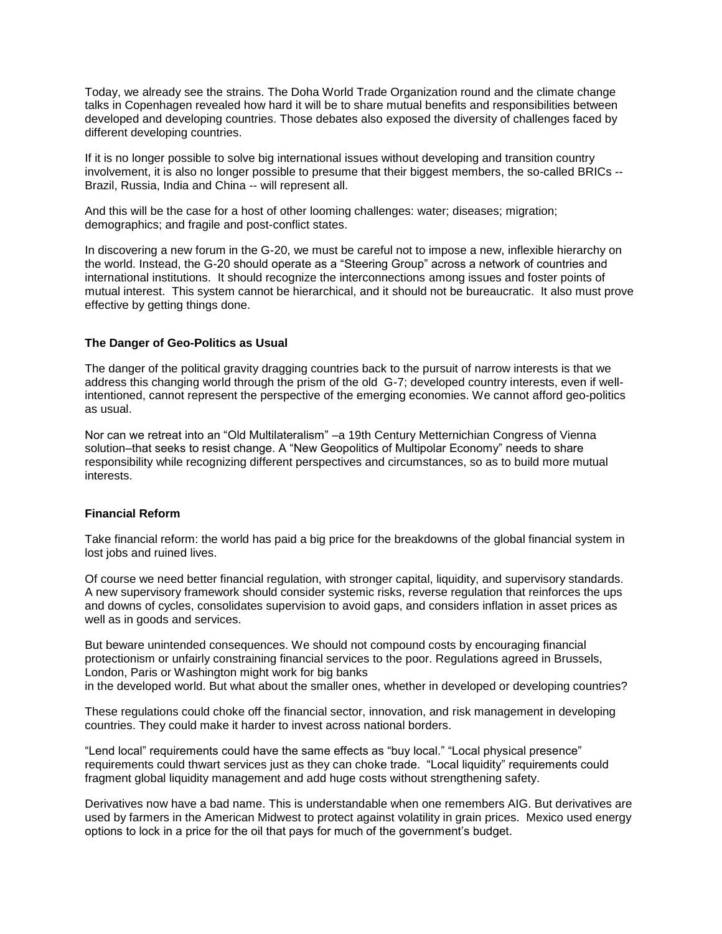Today, we already see the strains. The Doha World Trade Organization round and the climate change talks in Copenhagen revealed how hard it will be to share mutual benefits and responsibilities between developed and developing countries. Those debates also exposed the diversity of challenges faced by different developing countries.

If it is no longer possible to solve big international issues without developing and transition country involvement, it is also no longer possible to presume that their biggest members, the so-called BRICs -- Brazil, Russia, India and China -- will represent all.

And this will be the case for a host of other looming challenges: water; diseases; migration; demographics; and fragile and post-conflict states.

In discovering a new forum in the G-20, we must be careful not to impose a new, inflexible hierarchy on the world. Instead, the G-20 should operate as a "Steering Group" across a network of countries and international institutions. It should recognize the interconnections among issues and foster points of mutual interest. This system cannot be hierarchical, and it should not be bureaucratic. It also must prove effective by getting things done.

# **The Danger of Geo-Politics as Usual**

The danger of the political gravity dragging countries back to the pursuit of narrow interests is that we address this changing world through the prism of the old G-7; developed country interests, even if wellintentioned, cannot represent the perspective of the emerging economies. We cannot afford geo-politics as usual.

Nor can we retreat into an "Old Multilateralism" –a 19th Century Metternichian Congress of Vienna solution–that seeks to resist change. A "New Geopolitics of Multipolar Economy" needs to share responsibility while recognizing different perspectives and circumstances, so as to build more mutual interests.

# **Financial Reform**

Take financial reform: the world has paid a big price for the breakdowns of the global financial system in lost jobs and ruined lives.

Of course we need better financial regulation, with stronger capital, liquidity, and supervisory standards. A new supervisory framework should consider systemic risks, reverse regulation that reinforces the ups and downs of cycles, consolidates supervision to avoid gaps, and considers inflation in asset prices as well as in goods and services.

But beware unintended consequences. We should not compound costs by encouraging financial protectionism or unfairly constraining financial services to the poor. Regulations agreed in Brussels, London, Paris or Washington might work for big banks in the developed world. But what about the smaller ones, whether in developed or developing countries?

These regulations could choke off the financial sector, innovation, and risk management in developing countries. They could make it harder to invest across national borders.

"Lend local" requirements could have the same effects as "buy local." "Local physical presence" requirements could thwart services just as they can choke trade. "Local liquidity" requirements could fragment global liquidity management and add huge costs without strengthening safety.

Derivatives now have a bad name. This is understandable when one remembers AIG. But derivatives are used by farmers in the American Midwest to protect against volatility in grain prices. Mexico used energy options to lock in a price for the oil that pays for much of the government's budget.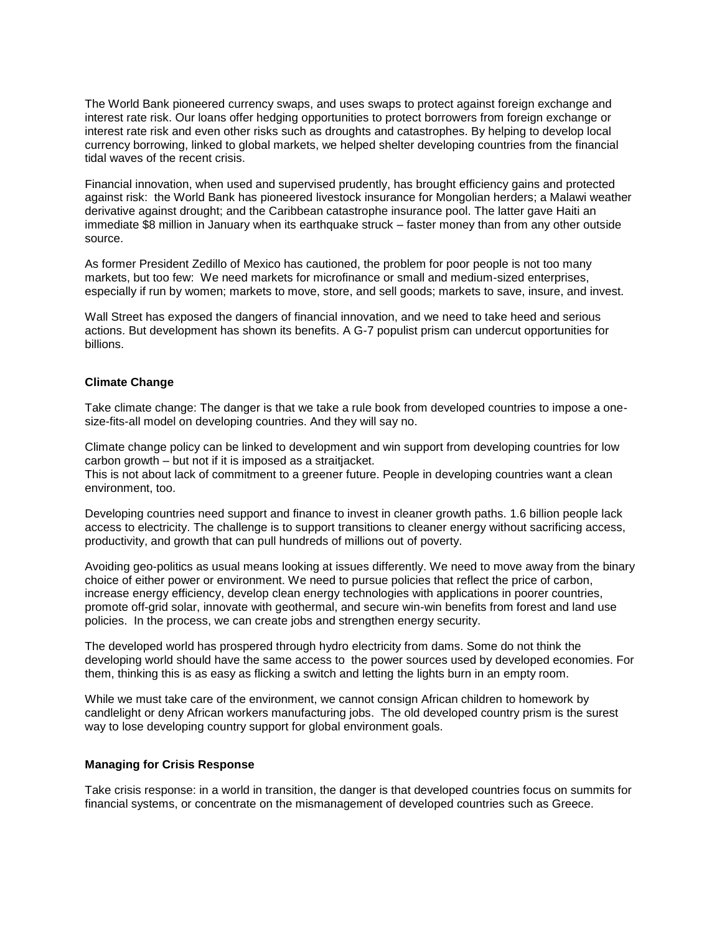The World Bank pioneered currency swaps, and uses swaps to protect against foreign exchange and interest rate risk. Our loans offer hedging opportunities to protect borrowers from foreign exchange or interest rate risk and even other risks such as droughts and catastrophes. By helping to develop local currency borrowing, linked to global markets, we helped shelter developing countries from the financial tidal waves of the recent crisis.

Financial innovation, when used and supervised prudently, has brought efficiency gains and protected against risk: the World Bank has pioneered livestock insurance for Mongolian herders; a Malawi weather derivative against drought; and the Caribbean catastrophe insurance pool. The latter gave Haiti an immediate \$8 million in January when its earthquake struck – faster money than from any other outside source.

As former President Zedillo of Mexico has cautioned, the problem for poor people is not too many markets, but too few: We need markets for microfinance or small and medium-sized enterprises, especially if run by women; markets to move, store, and sell goods; markets to save, insure, and invest.

Wall Street has exposed the dangers of financial innovation, and we need to take heed and serious actions. But development has shown its benefits. A G-7 populist prism can undercut opportunities for billions.

# **Climate Change**

Take climate change: The danger is that we take a rule book from developed countries to impose a onesize-fits-all model on developing countries. And they will say no.

Climate change policy can be linked to development and win support from developing countries for low carbon growth – but not if it is imposed as a straitjacket.

This is not about lack of commitment to a greener future. People in developing countries want a clean environment, too.

Developing countries need support and finance to invest in cleaner growth paths. 1.6 billion people lack access to electricity. The challenge is to support transitions to cleaner energy without sacrificing access, productivity, and growth that can pull hundreds of millions out of poverty.

Avoiding geo-politics as usual means looking at issues differently. We need to move away from the binary choice of either power or environment. We need to pursue policies that reflect the price of carbon, increase energy efficiency, develop clean energy technologies with applications in poorer countries, promote off-grid solar, innovate with geothermal, and secure win-win benefits from forest and land use policies. In the process, we can create jobs and strengthen energy security.

The developed world has prospered through hydro electricity from dams. Some do not think the developing world should have the same access to the power sources used by developed economies. For them, thinking this is as easy as flicking a switch and letting the lights burn in an empty room.

While we must take care of the environment, we cannot consign African children to homework by candlelight or deny African workers manufacturing jobs. The old developed country prism is the surest way to lose developing country support for global environment goals.

# **Managing for Crisis Response**

Take crisis response: in a world in transition, the danger is that developed countries focus on summits for financial systems, or concentrate on the mismanagement of developed countries such as Greece.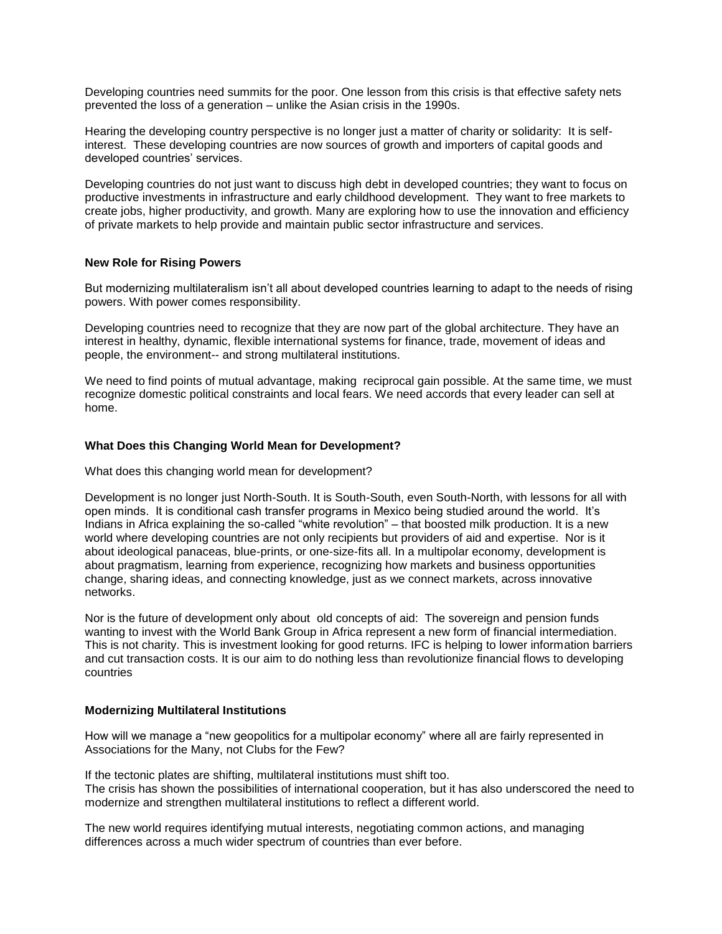Developing countries need summits for the poor. One lesson from this crisis is that effective safety nets prevented the loss of a generation – unlike the Asian crisis in the 1990s.

Hearing the developing country perspective is no longer just a matter of charity or solidarity: It is selfinterest. These developing countries are now sources of growth and importers of capital goods and developed countries' services.

Developing countries do not just want to discuss high debt in developed countries; they want to focus on productive investments in infrastructure and early childhood development. They want to free markets to create jobs, higher productivity, and growth. Many are exploring how to use the innovation and efficiency of private markets to help provide and maintain public sector infrastructure and services.

# **New Role for Rising Powers**

But modernizing multilateralism isn't all about developed countries learning to adapt to the needs of rising powers. With power comes responsibility.

Developing countries need to recognize that they are now part of the global architecture. They have an interest in healthy, dynamic, flexible international systems for finance, trade, movement of ideas and people, the environment-- and strong multilateral institutions.

We need to find points of mutual advantage, making reciprocal gain possible. At the same time, we must recognize domestic political constraints and local fears. We need accords that every leader can sell at home.

# **What Does this Changing World Mean for Development?**

What does this changing world mean for development?

Development is no longer just North-South. It is South-South, even South-North, with lessons for all with open minds. It is conditional cash transfer programs in Mexico being studied around the world. It's Indians in Africa explaining the so-called "white revolution" – that boosted milk production. It is a new world where developing countries are not only recipients but providers of aid and expertise. Nor is it about ideological panaceas, blue-prints, or one-size-fits all. In a multipolar economy, development is about pragmatism, learning from experience, recognizing how markets and business opportunities change, sharing ideas, and connecting knowledge, just as we connect markets, across innovative networks.

Nor is the future of development only about old concepts of aid: The sovereign and pension funds wanting to invest with the World Bank Group in Africa represent a new form of financial intermediation. This is not charity. This is investment looking for good returns. IFC is helping to lower information barriers and cut transaction costs. It is our aim to do nothing less than revolutionize financial flows to developing countries

### **Modernizing Multilateral Institutions**

How will we manage a "new geopolitics for a multipolar economy" where all are fairly represented in Associations for the Many, not Clubs for the Few?

If the tectonic plates are shifting, multilateral institutions must shift too. The crisis has shown the possibilities of international cooperation, but it has also underscored the need to modernize and strengthen multilateral institutions to reflect a different world.

The new world requires identifying mutual interests, negotiating common actions, and managing differences across a much wider spectrum of countries than ever before.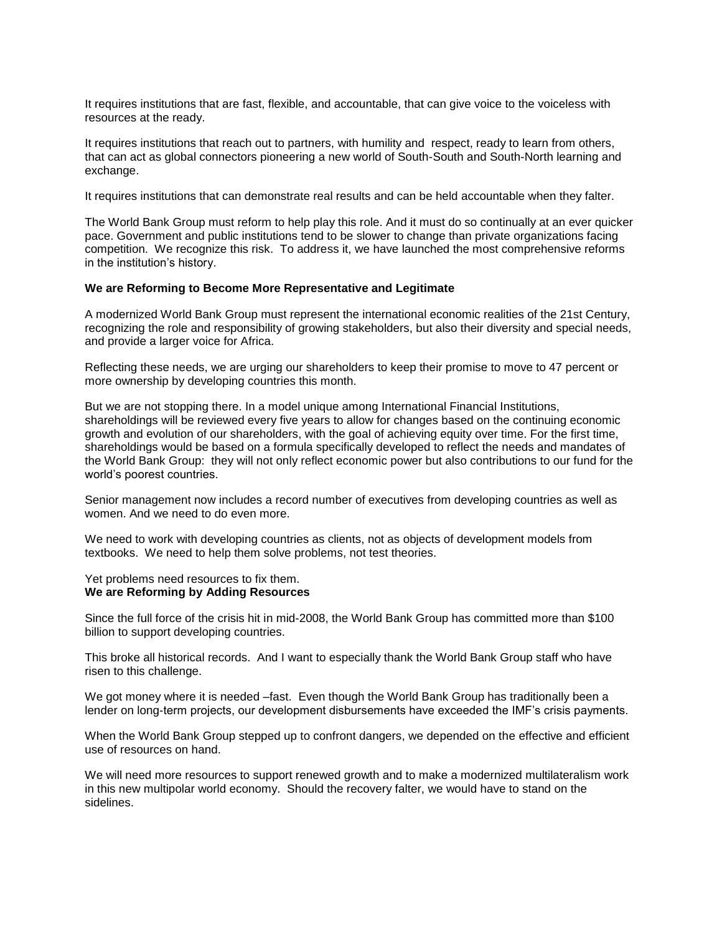It requires institutions that are fast, flexible, and accountable, that can give voice to the voiceless with resources at the ready.

It requires institutions that reach out to partners, with humility and respect, ready to learn from others, that can act as global connectors pioneering a new world of South-South and South-North learning and exchange.

It requires institutions that can demonstrate real results and can be held accountable when they falter.

The World Bank Group must reform to help play this role. And it must do so continually at an ever quicker pace. Government and public institutions tend to be slower to change than private organizations facing competition. We recognize this risk. To address it, we have launched the most comprehensive reforms in the institution's history.

### **We are Reforming to Become More Representative and Legitimate**

A modernized World Bank Group must represent the international economic realities of the 21st Century, recognizing the role and responsibility of growing stakeholders, but also their diversity and special needs, and provide a larger voice for Africa.

Reflecting these needs, we are urging our shareholders to keep their promise to move to 47 percent or more ownership by developing countries this month.

But we are not stopping there. In a model unique among International Financial Institutions, shareholdings will be reviewed every five years to allow for changes based on the continuing economic growth and evolution of our shareholders, with the goal of achieving equity over time. For the first time, shareholdings would be based on a formula specifically developed to reflect the needs and mandates of the World Bank Group: they will not only reflect economic power but also contributions to our fund for the world's poorest countries.

Senior management now includes a record number of executives from developing countries as well as women. And we need to do even more.

We need to work with developing countries as clients, not as objects of development models from textbooks. We need to help them solve problems, not test theories.

#### Yet problems need resources to fix them. **We are Reforming by Adding Resources**

Since the full force of the crisis hit in mid-2008, the World Bank Group has committed more than \$100 billion to support developing countries.

This broke all historical records. And I want to especially thank the World Bank Group staff who have risen to this challenge.

We got money where it is needed –fast. Even though the World Bank Group has traditionally been a lender on long-term projects, our development disbursements have exceeded the IMF's crisis payments.

When the World Bank Group stepped up to confront dangers, we depended on the effective and efficient use of resources on hand.

We will need more resources to support renewed growth and to make a modernized multilateralism work in this new multipolar world economy. Should the recovery falter, we would have to stand on the sidelines.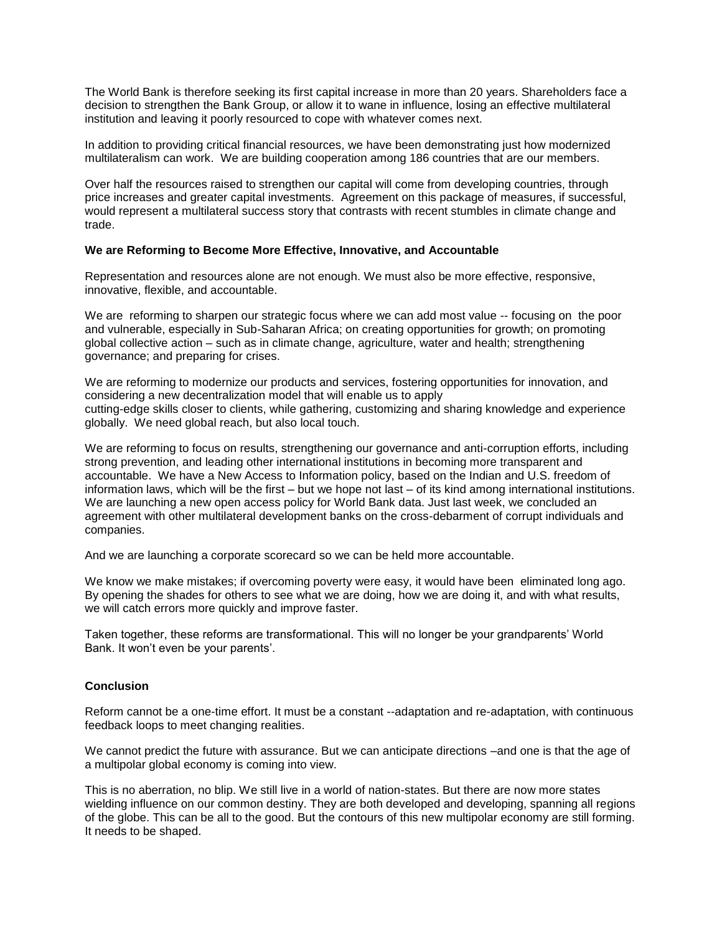The World Bank is therefore seeking its first capital increase in more than 20 years. Shareholders face a decision to strengthen the Bank Group, or allow it to wane in influence, losing an effective multilateral institution and leaving it poorly resourced to cope with whatever comes next.

In addition to providing critical financial resources, we have been demonstrating just how modernized multilateralism can work. We are building cooperation among 186 countries that are our members.

Over half the resources raised to strengthen our capital will come from developing countries, through price increases and greater capital investments. Agreement on this package of measures, if successful, would represent a multilateral success story that contrasts with recent stumbles in climate change and trade.

# **We are Reforming to Become More Effective, Innovative, and Accountable**

Representation and resources alone are not enough. We must also be more effective, responsive, innovative, flexible, and accountable.

We are reforming to sharpen our strategic focus where we can add most value -- focusing on the poor and vulnerable, especially in Sub-Saharan Africa; on creating opportunities for growth; on promoting global collective action – such as in climate change, agriculture, water and health; strengthening governance; and preparing for crises.

We are reforming to modernize our products and services, fostering opportunities for innovation, and considering a new decentralization model that will enable us to apply cutting-edge skills closer to clients, while gathering, customizing and sharing knowledge and experience globally. We need global reach, but also local touch.

We are reforming to focus on results, strengthening our governance and anti-corruption efforts, including strong prevention, and leading other international institutions in becoming more transparent and accountable. We have a New Access to Information policy, based on the Indian and U.S. freedom of information laws, which will be the first – but we hope not last – of its kind among international institutions. We are launching a new open access policy for World Bank data. Just last week, we concluded an agreement with other multilateral development banks on the cross-debarment of corrupt individuals and companies.

And we are launching a corporate scorecard so we can be held more accountable.

We know we make mistakes; if overcoming poverty were easy, it would have been eliminated long ago. By opening the shades for others to see what we are doing, how we are doing it, and with what results, we will catch errors more quickly and improve faster.

Taken together, these reforms are transformational. This will no longer be your grandparents' World Bank. It won't even be your parents'.

### **Conclusion**

Reform cannot be a one-time effort. It must be a constant --adaptation and re-adaptation, with continuous feedback loops to meet changing realities.

We cannot predict the future with assurance. But we can anticipate directions –and one is that the age of a multipolar global economy is coming into view.

This is no aberration, no blip. We still live in a world of nation-states. But there are now more states wielding influence on our common destiny. They are both developed and developing, spanning all regions of the globe. This can be all to the good. But the contours of this new multipolar economy are still forming. It needs to be shaped.